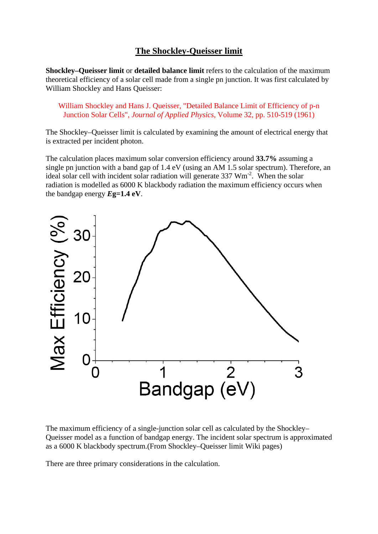# **The Shockley-Queisser limit**

**Shockley–Queisser limit** or **detailed balance limit** refers to the calculation of the maximum theoretical efficiency of a [solar cell](http://en.wikipedia.org/wiki/Solar_cell) made from a single [pn junction.](http://en.wikipedia.org/wiki/P-n_junction) It was first calculated by [William Shockley](http://en.wikipedia.org/wiki/William_Shockley) and [Hans Queisser:](http://en.wikipedia.org/wiki/Hans_Queisser)

William Shockley and Hans J. Queisser, ["Detailed Balance Limit of Efficiency of p-n](http://jap.aip.org/resource/1/japiau/v32/i3/p510_s1)  [Junction Solar Cells",](http://jap.aip.org/resource/1/japiau/v32/i3/p510_s1) *Journal of Applied Physics*, Volume 32, pp. 510-519 (1961)

The Shockley–Queisser limit is calculated by examining the amount of electrical energy that is extracted per incident photon.

The calculation places maximum [solar conversion efficiency](http://en.wikipedia.org/wiki/Solar_conversion_efficiency) around **33.7%** assuming a single pn junction with a [band gap](http://en.wikipedia.org/wiki/Band_gap) of 1.4 eV (using an AM 1.5 solar spectrum). Therefore, an ideal solar cell with incident solar radiation will generate 337 Wm<sup>-2</sup>. When the solar radiation is modelled as 6000 K blackbody radiation the maximum efficiency occurs when the bandgap energy *E***g=1.4 eV**.



The maximum efficiency of a single-junction solar cell as calculated by the Shockley– Queisser model as a function of bandgap energy. The incident solar spectrum is approximated as a 6000 K blackbody spectrum.(From Shockley–Queisser limit Wiki pages)

There are three primary considerations in the calculation.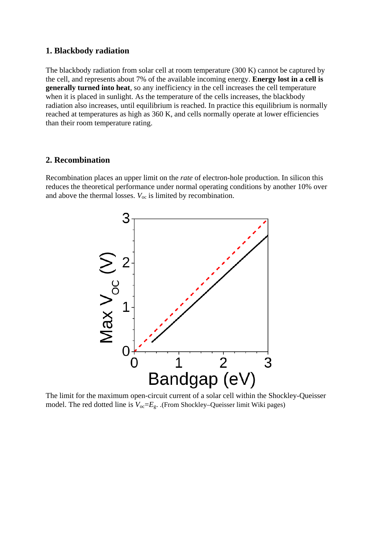#### **1. Blackbody radiation**

The blackbody radiation from solar cell at room temperature (300 K) cannot be captured by the cell, and represents about 7% of the available incoming energy. **Energy lost in a cell is generally turned into heat**, so any inefficiency in the cell increases the cell temperature when it is placed in sunlight. As the temperature of the cells increases, the blackbody radiation also increases, until equilibrium is reached. In practice this equilibrium is normally reached at temperatures as high as 360 K, and cells normally operate at lower efficiencies than their room temperature rating.

### **2. Recombination**

Recombination places an upper limit on the *rate* of electron-hole production. In silicon this reduces the theoretical performance under normal operating conditions by another 10% over and above the thermal losses.  $V_{\text{oc}}$  is limited by recombination.



The limit for the maximum open-circuit current of a solar cell within the Shockley-Queisser model. The red dotted line is  $V_{oc} = E_g$ . .(From Shockley–Queisser limit Wiki pages)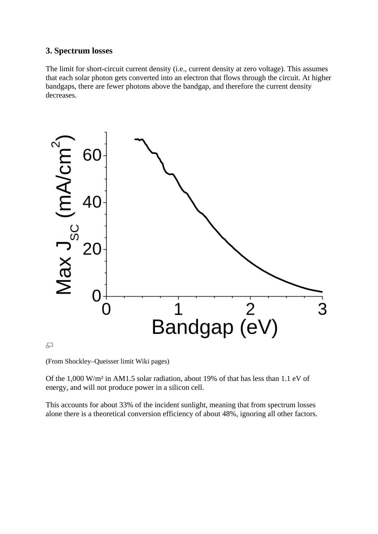### **3. Spectrum losses**

The limit for short-circuit current density (i.e., current density at zero voltage). This assumes that each solar photon gets converted into an electron that flows through the circuit. At higher bandgaps, there are fewer photons above the bandgap, and therefore the current density decreases.



모

(From Shockley–Queisser limit Wiki pages)

Of the 1,000 W/m² in AM1.5 solar radiation, about 19% of that has less than 1.1 eV of energy, and will not produce power in a silicon cell.

This accounts for about 33% of the incident sunlight, meaning that from spectrum losses alone there is a theoretical conversion efficiency of about 48%, ignoring all other factors.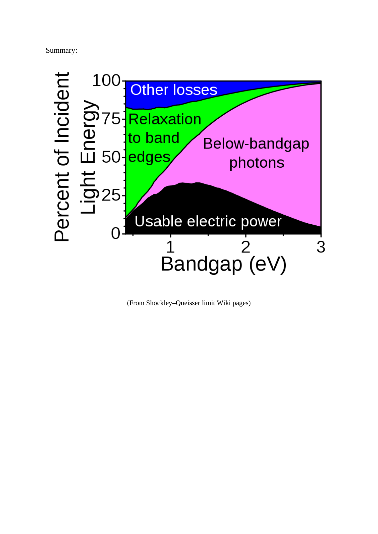Summary:



(From Shockley–Queisser limit Wiki pages)